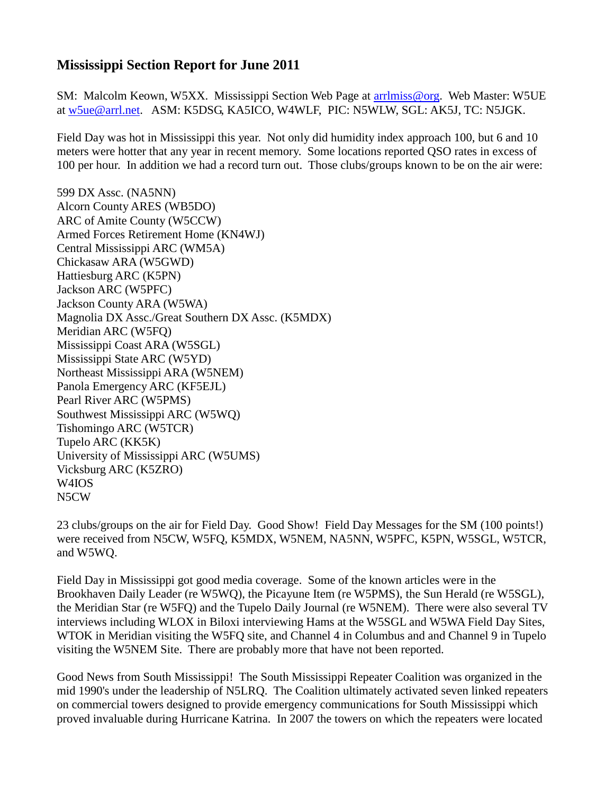## **Mississippi Section Report for June 2011**

SM: Malcolm Keown, W5XX. Mississippi Section Web Page at [arrlmiss@org.](mailto:arrlmiss@org) Web Master: W5UE at [w5ue@arrl.net.](mailto:w5ue@arrl.net) ASM: K5DSG, KA5ICO, W4WLF, PIC: N5WLW, SGL: AK5J, TC: N5JGK.

Field Day was hot in Mississippi this year. Not only did humidity index approach 100, but 6 and 10 meters were hotter that any year in recent memory. Some locations reported QSO rates in excess of 100 per hour. In addition we had a record turn out. Those clubs/groups known to be on the air were:

599 DX Assc. (NA5NN) Alcorn County ARES (WB5DO) ARC of Amite County (W5CCW) Armed Forces Retirement Home (KN4WJ) Central Mississippi ARC (WM5A) Chickasaw ARA (W5GWD) Hattiesburg ARC (K5PN) Jackson ARC (W5PFC) Jackson County ARA (W5WA) Magnolia DX Assc./Great Southern DX Assc. (K5MDX) Meridian ARC (W5FQ) Mississippi Coast ARA (W5SGL) Mississippi State ARC (W5YD) Northeast Mississippi ARA (W5NEM) Panola Emergency ARC (KF5EJL) Pearl River ARC (W5PMS) Southwest Mississippi ARC (W5WQ) Tishomingo ARC (W5TCR) Tupelo ARC (KK5K) University of Mississippi ARC (W5UMS) Vicksburg ARC (K5ZRO) W4IOS N5CW

23 clubs/groups on the air for Field Day. Good Show! Field Day Messages for the SM (100 points!) were received from N5CW, W5FQ, K5MDX, W5NEM, NA5NN, W5PFC, K5PN, W5SGL, W5TCR, and W5WQ.

Field Day in Mississippi got good media coverage. Some of the known articles were in the Brookhaven Daily Leader (re W5WQ), the Picayune Item (re W5PMS), the Sun Herald (re W5SGL), the Meridian Star (re W5FQ) and the Tupelo Daily Journal (re W5NEM). There were also several TV interviews including WLOX in Biloxi interviewing Hams at the W5SGL and W5WA Field Day Sites, WTOK in Meridian visiting the W5FQ site, and Channel 4 in Columbus and and Channel 9 in Tupelo visiting the W5NEM Site. There are probably more that have not been reported.

Good News from South Mississippi! The South Mississippi Repeater Coalition was organized in the mid 1990's under the leadership of N5LRQ. The Coalition ultimately activated seven linked repeaters on commercial towers designed to provide emergency communications for South Mississippi which proved invaluable during Hurricane Katrina. In 2007 the towers on which the repeaters were located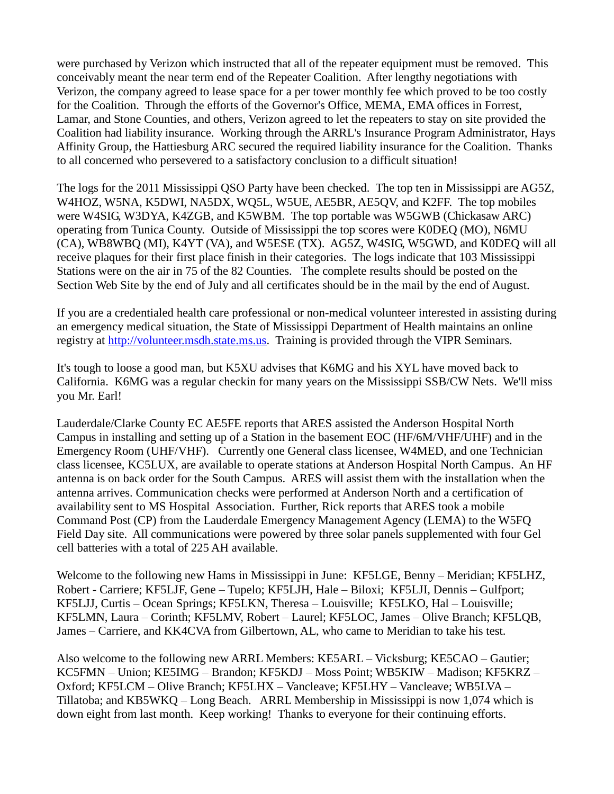were purchased by Verizon which instructed that all of the repeater equipment must be removed. This conceivably meant the near term end of the Repeater Coalition. After lengthy negotiations with Verizon, the company agreed to lease space for a per tower monthly fee which proved to be too costly for the Coalition. Through the efforts of the Governor's Office, MEMA, EMA offices in Forrest, Lamar, and Stone Counties, and others, Verizon agreed to let the repeaters to stay on site provided the Coalition had liability insurance. Working through the ARRL's Insurance Program Administrator, Hays Affinity Group, the Hattiesburg ARC secured the required liability insurance for the Coalition. Thanks to all concerned who persevered to a satisfactory conclusion to a difficult situation!

The logs for the 2011 Mississippi QSO Party have been checked. The top ten in Mississippi are AG5Z, W4HOZ, W5NA, K5DWI, NA5DX, WQ5L, W5UE, AE5BR, AE5QV, and K2FF. The top mobiles were W4SIG, W3DYA, K4ZGB, and K5WBM. The top portable was W5GWB (Chickasaw ARC) operating from Tunica County. Outside of Mississippi the top scores were K0DEQ (MO), N6MU (CA), WB8WBQ (MI), K4YT (VA), and W5ESE (TX). AG5Z, W4SIG, W5GWD, and K0DEQ will all receive plaques for their first place finish in their categories. The logs indicate that 103 Mississippi Stations were on the air in 75 of the 82 Counties. The complete results should be posted on the Section Web Site by the end of July and all certificates should be in the mail by the end of August.

If you are a credentialed health care professional or non-medical volunteer interested in assisting during an emergency medical situation, the State of Mississippi Department of Health maintains an online registry at [http://volunteer.msdh.state.ms.us.](http://volunteer.msdh.state.ms.us/) Training is provided through the VIPR Seminars.

It's tough to loose a good man, but K5XU advises that K6MG and his XYL have moved back to California. K6MG was a regular checkin for many years on the Mississippi SSB/CW Nets. We'll miss you Mr. Earl!

Lauderdale/Clarke County EC AE5FE reports that ARES assisted the Anderson Hospital North Campus in installing and setting up of a Station in the basement EOC (HF/6M/VHF/UHF) and in the Emergency Room (UHF/VHF). Currently one General class licensee, W4MED, and one Technician class licensee, KC5LUX, are available to operate stations at Anderson Hospital North Campus. An HF antenna is on back order for the South Campus. ARES will assist them with the installation when the antenna arrives. Communication checks were performed at Anderson North and a certification of availability sent to MS Hospital Association. Further, Rick reports that ARES took a mobile Command Post (CP) from the Lauderdale Emergency Management Agency (LEMA) to the W5FQ Field Day site. All communications were powered by three solar panels supplemented with four Gel cell batteries with a total of 225 AH available.

Welcome to the following new Hams in Mississippi in June: KF5LGE, Benny – Meridian; KF5LHZ, Robert - Carriere; KF5LJF, Gene – Tupelo; KF5LJH, Hale – Biloxi; KF5LJI, Dennis – Gulfport; KF5LJJ, Curtis – Ocean Springs; KF5LKN, Theresa – Louisville; KF5LKO, Hal – Louisville; KF5LMN, Laura – Corinth; KF5LMV, Robert – Laurel; KF5LOC, James – Olive Branch; KF5LQB, James – Carriere, and KK4CVA from Gilbertown, AL, who came to Meridian to take his test.

Also welcome to the following new ARRL Members: KE5ARL – Vicksburg; KE5CAO – Gautier; KC5FMN – Union; KE5IMG – Brandon; KF5KDJ – Moss Point; WB5KIW – Madison; KF5KRZ – Oxford; KF5LCM – Olive Branch; KF5LHX – Vancleave; KF5LHY – Vancleave; WB5LVA – Tillatoba; and KB5WKQ – Long Beach. ARRL Membership in Mississippi is now 1,074 which is down eight from last month. Keep working! Thanks to everyone for their continuing efforts.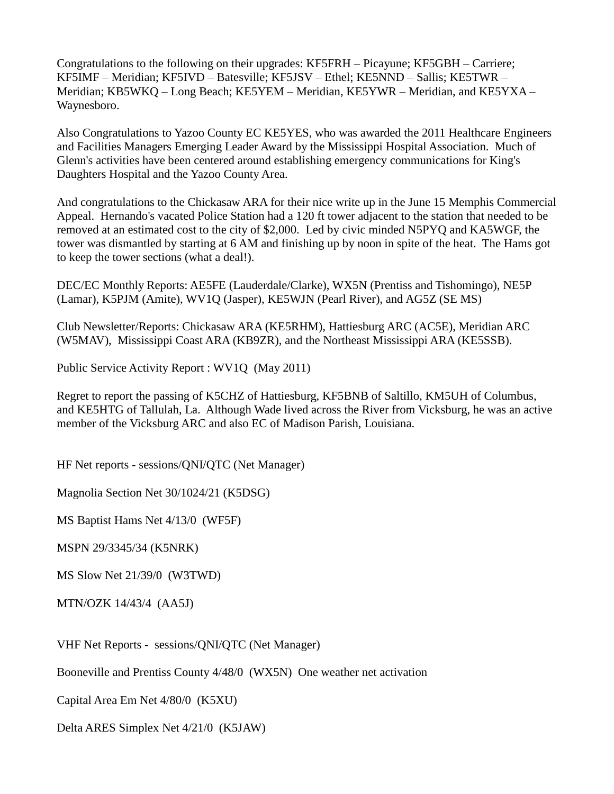Congratulations to the following on their upgrades: KF5FRH – Picayune; KF5GBH – Carriere; KF5IMF – Meridian; KF5IVD – Batesville; KF5JSV – Ethel; KE5NND – Sallis; KE5TWR – Meridian; KB5WKQ – Long Beach; KE5YEM – Meridian, KE5YWR – Meridian, and KE5YXA – Waynesboro.

Also Congratulations to Yazoo County EC KE5YES, who was awarded the 2011 Healthcare Engineers and Facilities Managers Emerging Leader Award by the Mississippi Hospital Association. Much of Glenn's activities have been centered around establishing emergency communications for King's Daughters Hospital and the Yazoo County Area.

And congratulations to the Chickasaw ARA for their nice write up in the June 15 Memphis Commercial Appeal. Hernando's vacated Police Station had a 120 ft tower adjacent to the station that needed to be removed at an estimated cost to the city of \$2,000. Led by civic minded N5PYQ and KA5WGF, the tower was dismantled by starting at 6 AM and finishing up by noon in spite of the heat. The Hams got to keep the tower sections (what a deal!).

DEC/EC Monthly Reports: AE5FE (Lauderdale/Clarke), WX5N (Prentiss and Tishomingo), NE5P (Lamar), K5PJM (Amite), WV1Q (Jasper), KE5WJN (Pearl River), and AG5Z (SE MS)

Club Newsletter/Reports: Chickasaw ARA (KE5RHM), Hattiesburg ARC (AC5E), Meridian ARC (W5MAV), Mississippi Coast ARA (KB9ZR), and the Northeast Mississippi ARA (KE5SSB).

Public Service Activity Report : WV1Q (May 2011)

Regret to report the passing of K5CHZ of Hattiesburg, KF5BNB of Saltillo, KM5UH of Columbus, and KE5HTG of Tallulah, La. Although Wade lived across the River from Vicksburg, he was an active member of the Vicksburg ARC and also EC of Madison Parish, Louisiana.

HF Net reports - sessions/QNI/QTC (Net Manager)

Magnolia Section Net 30/1024/21 (K5DSG)

MS Baptist Hams Net 4/13/0 (WF5F)

MSPN 29/3345/34 (K5NRK)

MS Slow Net 21/39/0 (W3TWD)

MTN/OZK 14/43/4 (AA5J)

VHF Net Reports - sessions/QNI/QTC (Net Manager)

Booneville and Prentiss County 4/48/0 (WX5N) One weather net activation

Capital Area Em Net 4/80/0 (K5XU)

Delta ARES Simplex Net 4/21/0 (K5JAW)